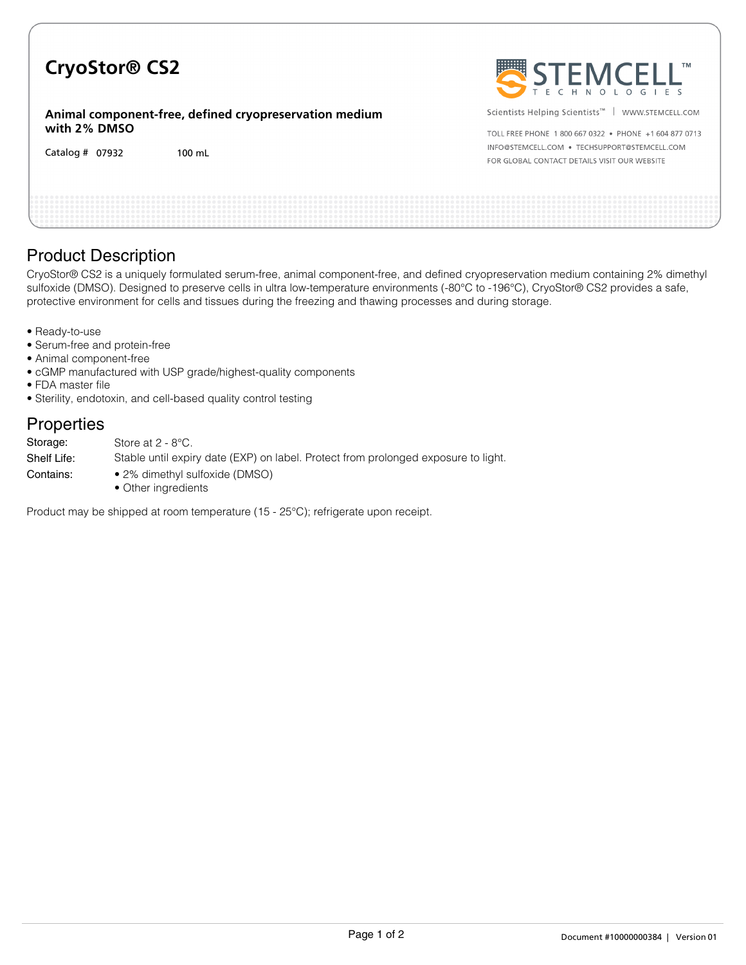# **CryoStor® CS2**

**Animal component-free, defined cryopreservation medium with 2% DMSO**

Catalog # 07932 100 mL



Scientists Helping Scientists™ | WWW.STEMCELL.COM

TOLL FREE PHONE 1 800 667 0322 · PHONE +1 604 877 0713 INFO@STEMCELL.COM . TECHSUPPORT@STEMCELL.COM FOR GLOBAL CONTACT DETAILS VISIT OUR WEBSITE

## Product Description

CryoStor® CS2 is a uniquely formulated serum-free, animal component-free, and defined cryopreservation medium containing 2% dimethyl sulfoxide (DMSO). Designed to preserve cells in ultra low-temperature environments (-80°C to -196°C), CryoStor® CS2 provides a safe, protective environment for cells and tissues during the freezing and thawing processes and during storage.

- Ready-to-use
- Serum-free and protein-free
- Animal component-free
- cGMP manufactured with USP grade/highest-quality components
- FDA master file
- Sterility, endotoxin, and cell-based quality control testing

### **Properties**

| Storage:    | Store at $2 - 8$ °C.                                                               |
|-------------|------------------------------------------------------------------------------------|
| Shelf Life: | Stable until expiry date (EXP) on label. Protect from prolonged exposure to light. |
| Contains:   | • 2% dimethyl sulfoxide (DMSO)<br>• Other ingredients                              |

Product may be shipped at room temperature (15 - 25°C); refrigerate upon receipt.